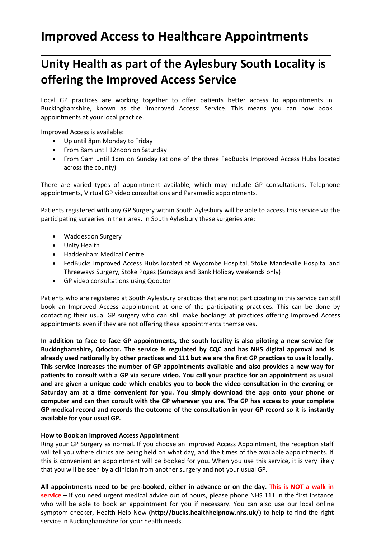## **Improved Access to Healthcare Appointments**

## **Unity Health as part of the Aylesbury South Locality is offering the Improved Access Service**

Local GP practices are working together to offer patients better access to appointments in Buckinghamshire, known as the 'Improved Access' Service. This means you can now book appointments at your local practice.

Improved Access is available:

- Up until 8pm Monday to Friday
- From 8am until 12noon on Saturday
- From 9am until 1pm on Sunday (at one of the three FedBucks Improved Access Hubs located across the county)

There are varied types of appointment available, which may include GP consultations, Telephone appointments, Virtual GP video consultations and Paramedic appointments.

Patients registered with any GP Surgery within South Aylesbury will be able to access this service via the participating surgeries in their area. In South Aylesbury these surgeries are:

- Waddesdon Surgery
- Unity Health
- Haddenham Medical Centre
- FedBucks Improved Access Hubs located at Wycombe Hospital, Stoke Mandeville Hospital and Threeways Surgery, Stoke Poges (Sundays and Bank Holiday weekends only)
- GP video consultations using Qdoctor

Patients who are registered at South Aylesbury practices that are not participating in this service can still book an Improved Access appointment at one of the participating practices. This can be done by contacting their usual GP surgery who can still make bookings at practices offering Improved Access appointments even if they are not offering these appointments themselves.

**In addition to face to face GP appointments, the south locality is also piloting a new service for Buckinghamshire, Qdoctor. The service is regulated by CQC and has NHS digital approval and is already used nationally by other practices and 111 but we are the first GP practices to use it locally. This service increases the number of GP appointments available and also provides a new way for patients to consult with a GP via secure video. You call your practice for an appointment as usual and are given a unique code which enables you to book the video consultation in the evening or Saturday am at a time convenient for you. You simply download the app onto your phone or computer and can then consult with the GP wherever you are. The GP has access to your complete GP medical record and records the outcome of the consultation in your GP record so it is instantly available for your usual GP.**

## **How to Book an Improved Access Appointment**

Ring your GP Surgery as normal. If you choose an Improved Access Appointment, the reception staff will tell you where clinics are being held on what day, and the times of the available appointments. If this is convenient an appointment will be booked for you. When you use this service, it is very likely that you will be seen by a clinician from another surgery and not your usual GP.

**All appointments need to be pre-booked, either in advance or on the day. This is NOT a walk in service** – if you need urgent medical advice out of hours, please phone NHS 111 in the first instance who will be able to book an appointment for you if necessary. You can also use our local online symptom checker, Health Help Now **[\(http://bucks.healthhelpnow.nhs.uk/\)](http://bucks.healthhelpnow.nhs.uk/)** to help to find the right service in Buckinghamshire for your health needs.